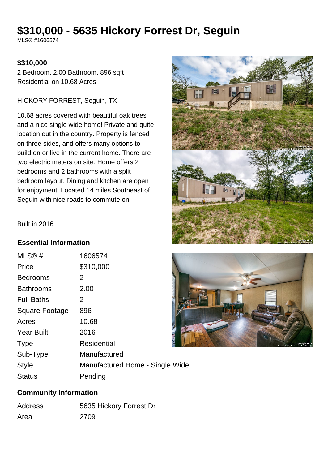# **\$310,000 - 5635 Hickory Forrest Dr, Seguin**

MLS® #1606574

### **\$310,000**

2 Bedroom, 2.00 Bathroom, 896 sqft Residential on 10.68 Acres

#### HICKORY FORREST, Seguin, TX

10.68 acres covered with beautiful oak trees and a nice single wide home! Private and quite location out in the country. Property is fenced on three sides, and offers many options to build on or live in the current home. There are two electric meters on site. Home offers 2 bedrooms and 2 bathrooms with a split bedroom layout. Dining and kitchen are open for enjoyment. Located 14 miles Southeast of Seguin with nice roads to commute on.



Built in 2016

#### **Essential Information**

| MLS®#             | 1606574                         |
|-------------------|---------------------------------|
| Price             | \$310,000                       |
| <b>Bedrooms</b>   | 2                               |
| <b>Bathrooms</b>  | 2.00                            |
| <b>Full Baths</b> | 2                               |
| Square Footage    | 896                             |
| Acres             | 10.68                           |
| <b>Year Built</b> | 2016                            |
| <b>Type</b>       | <b>Residential</b>              |
| Sub-Type          | Manufactured                    |
| <b>Style</b>      | Manufactured Home - Single Wide |
| <b>Status</b>     | Pending                         |



#### **Community Information**

| Address | 5635 Hickory Forrest Dr |
|---------|-------------------------|
| Area    | 2709                    |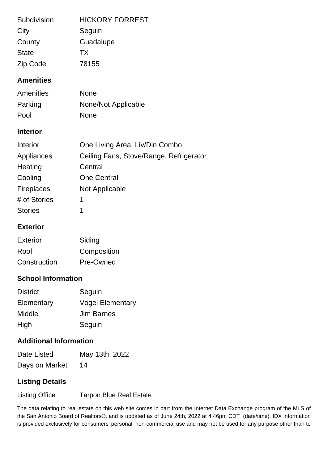| <b>HICKORY FORREST</b><br>Seguin<br>Guadalupe<br><b>TX</b><br>78155 |
|---------------------------------------------------------------------|
|                                                                     |
| <b>None</b>                                                         |
| None/Not Applicable                                                 |
| <b>None</b>                                                         |
|                                                                     |
| One Living Area, Liv/Din Combo                                      |
| Ceiling Fans, Stove/Range, Refrigerator                             |
| Central                                                             |
| <b>One Central</b>                                                  |
| Not Applicable                                                      |
| 1                                                                   |
| 1                                                                   |
|                                                                     |
| Siding                                                              |
| Composition                                                         |
|                                                                     |

## **School Information**

| <b>District</b> | Seguin                  |
|-----------------|-------------------------|
| Elementary      | <b>Vogel Elementary</b> |
| Middle          | <b>Jim Barnes</b>       |
| High            | Seguin                  |

Construction Pre-Owned

## **Additional Information**

| Date Listed    | May 13th, 2022 |
|----------------|----------------|
| Days on Market | 14             |

## **Listing Details**

Listing Office Tarpon Blue Real Estate

The data relating to real estate on this web site comes in part from the Internet Data Exchange program of the MLS of the San Antonio Board of Realtors®, and is updated as of June 24th, 2022 at 4:46pm CDT (date/time). IDX information is provided exclusively for consumers' personal, non-commercial use and may not be used for any purpose other than to